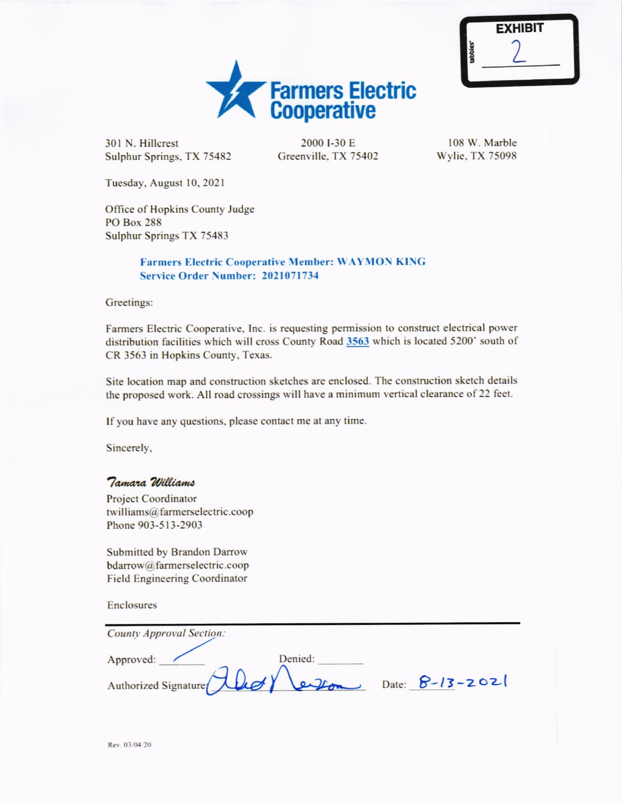

301 N. Hillcrest Sulphur Springs, TX 75482

2000 I-30 E Greenville, TX 75402

108 W. Marble Wylie, TX 75098

Tuesday, August 10, 2021

Office of Hopkins County Judge **PO Box 288 Sulphur Springs TX 75483** 

## **Farmers Electric Cooperative Member: WAYMON KING** Service Order Number: 2021071734

Greetings:

Farmers Electric Cooperative, Inc. is requesting permission to construct electrical power distribution facilities which will cross County Road 3563 which is located 5200' south of CR 3563 in Hopkins County, Texas.

Site location map and construction sketches are enclosed. The construction sketch details the proposed work. All road crossings will have a minimum vertical clearance of 22 feet.

If you have any questions, please contact me at any time.

Sincerely,

## Tamara Williams

**Project Coordinator** twilliams@farmerselectric.coop Phone 903-513-2903

**Submitted by Brandon Darrow** bdarrow@farmerselectric.coop **Field Engineering Coordinator** 

**Enclosures** 

| <b>County Approval Section:</b>                    |  |
|----------------------------------------------------|--|
| Approved:<br>Denied:                               |  |
| Authorized Signature (Llet) Leupon Date: 8-13-2021 |  |

Rev. 03/04/20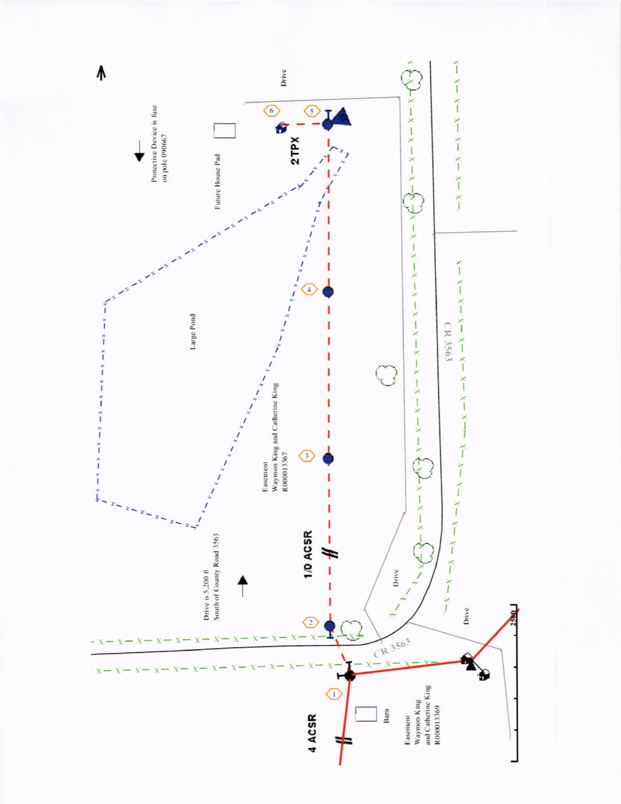